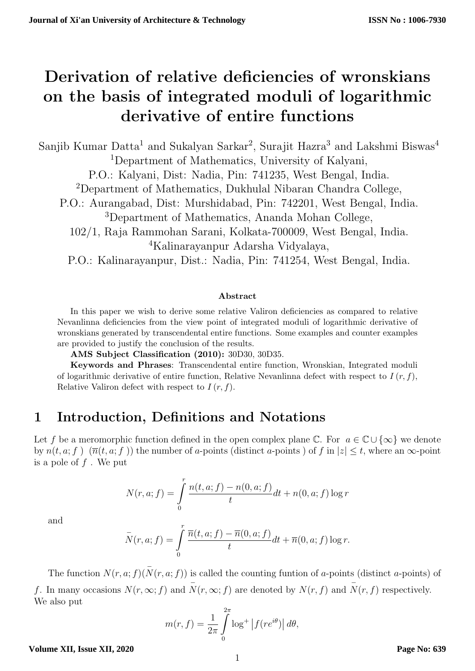# Derivation of relative deficiencies of wronskians on the basis of integrated moduli of logarithmic derivative of entire functions

Sanjib Kumar Datta<sup>1</sup> and Sukalyan Sarkar<sup>2</sup>, Surajit Hazra<sup>3</sup> and Lakshmi Biswas<sup>4</sup> <sup>1</sup>Department of Mathematics, University of Kalyani, P.O.: Kalyani, Dist: Nadia, Pin: 741235, West Bengal, India. <sup>2</sup>Department of Mathematics, Dukhulal Nibaran Chandra College, P.O.: Aurangabad, Dist: Murshidabad, Pin: 742201, West Bengal, India. <sup>3</sup>Department of Mathematics, Ananda Mohan College, 102/1, Raja Rammohan Sarani, Kolkata-700009, West Bengal, India. <sup>4</sup>Kalinarayanpur Adarsha Vidyalaya, P.O.: Kalinarayanpur, Dist.: Nadia, Pin: 741254, West Bengal, India.

### Abstract

In this paper we wish to derive some relative Valiron deficiencies as compared to relative Nevanlinna deficiencies from the view point of integrated moduli of logarithmic derivative of wronskians generated by transcendental entire functions. Some examples and counter examples are provided to justify the conclusion of the results.

AMS Subject Classification (2010): 30D30, 30D35.

Keywords and Phrases: Transcendental entire function, Wronskian, Integrated moduli of logarithmic derivative of entire function, Relative Nevanlinna defect with respect to  $I(r, f)$ , Relative Valiron defect with respect to  $I(r, f)$ .

### 1 Introduction, Definitions and Notations

Let f be a meromorphic function defined in the open complex plane  $\mathbb{C}$ . For  $a \in \mathbb{C} \cup \{\infty\}$  we denote by  $n(t, a; f)$   $(\overline{n}(t, a; f))$  the number of a-points (distinct a-points) of f in  $|z| \le t$ , where an  $\infty$ -point is a pole of  $f$ . We put

$$
N(r, a; f) = \int_{0}^{r} \frac{n(t, a; f) - n(0, a; f)}{t} dt + n(0, a; f) \log r
$$

and

$$
\overline{N}(r, a; f) = \int\limits_0^r \frac{\overline{n}(t, a; f) - \overline{n}(0, a; f)}{t} dt + \overline{n}(0, a; f) \log r.
$$

The function  $N(r, a; f)(\overline{N}(r, a; f))$  is called the counting funtion of a-points (distinct a-points) of f. In many occasions  $N(r, \infty; f)$  and  $\overline{N}(r, \infty; f)$  are denoted by  $N(r, f)$  and  $\overline{N}(r, f)$  respectively. We also put

$$
m(r, f) = \frac{1}{2\pi} \int_{0}^{2\pi} \log^{+} |f(re^{i\theta})| d\theta,
$$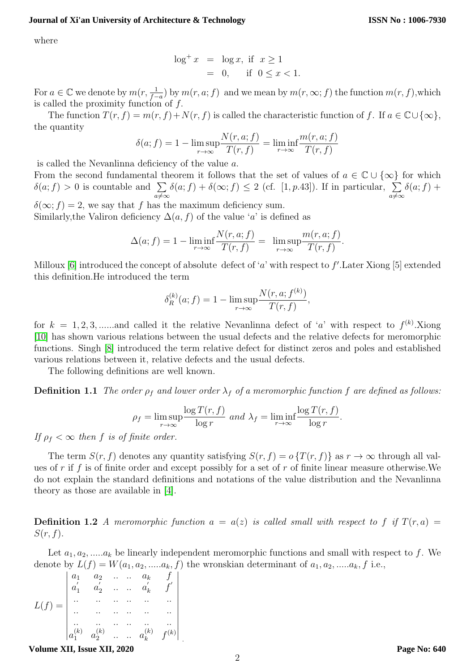where

$$
\log^+ x = \log x, \text{ if } x \ge 1
$$
  
= 0, if  $0 \le x < 1$ .

For  $a \in \mathbb{C}$  we denote by  $m(r, \frac{1}{f-a})$  by  $m(r, a; f)$  and we mean by  $m(r, \infty; f)$  the function  $m(r, f)$ , which is called the proximity function of f.

The function  $T(r, f) = m(r, f) + N(r, f)$  is called the characteristic function of f. If  $a \in \mathbb{C} \cup \{\infty\},$ the quantity

$$
\delta(a; f) = 1 - \limsup_{r \to \infty} \frac{N(r, a; f)}{T(r, f)} = \liminf_{r \to \infty} \frac{m(r, a; f)}{T(r, f)}
$$

is called the Nevanlinna deficiency of the value a.

From the second fundamental theorem it follows that the set of values of  $a \in \mathbb{C} \cup \{\infty\}$  for which  $\delta(a; f) > 0$  is countable and  $\sum$  $a\neq\infty$  $\delta(a; f) + \delta(\infty; f) \leq 2$  (cf. [1, p.43]). If in particular,  $\sum$  $a \neq \infty$  $\delta(a; f) +$ 

 $\delta(\infty; f) = 2$ , we say that f has the maximum deficiency sum. Similarly, the Valiron deficiency  $\Delta(a, f)$  of the value 'a' is defined as

$$
\Delta(a; f) = 1 - \liminf_{r \to \infty} \frac{N(r, a; f)}{T(r, f)} = \limsup_{r \to \infty} \frac{m(r, a; f)}{T(r, f)}.
$$

Milloux [\[6\]](#page-12-0) introduced the concept of absolute defect of 'a' with respect to  $f'$ . Later Xiong [5] extended this definition.He introduced the term

$$
\delta_R^{(k)}(a; f) = 1 - \limsup_{r \to \infty} \frac{N(r, a; f^{(k)})}{T(r, f)},
$$

for  $k = 1, 2, 3, \dots$  and called it the relative Nevanlinna defect of 'a' with respect to  $f^{(k)}$ . Xiong [\[10\]](#page-12-1) has shown various relations between the usual defects and the relative defects for meromorphic functions. Singh [\[8\]](#page-12-2) introduced the term relative defect for distinct zeros and poles and established various relations between it, relative defects and the usual defects.

The following definitions are well known.

**Definition 1.1** The order  $\rho_f$  and lower order  $\lambda_f$  of a meromorphic function f are defined as follows:

$$
\rho_f = \limsup_{r \to \infty} \frac{\log T(r, f)}{\log r} \text{ and } \lambda_f = \liminf_{r \to \infty} \frac{\log T(r, f)}{\log r}.
$$

If  $\rho_f < \infty$  then f is of finite order.

The term  $S(r, f)$  denotes any quantity satisfying  $S(r, f) = o\{T(r, f)\}\$ as  $r \to \infty$  through all values of r if f is of finite order and except possibly for a set of r of finite linear measure otherwise. We do not explain the standard definitions and notations of the value distribution and the Nevanlinna theory as those are available in [\[4\]](#page-12-3).

<span id="page-1-0"></span>**Definition 1.2** A meromorphic function  $a = a(z)$  is called small with respect to f if  $T(r, a)$  $S(r, f)$ .

Let  $a_1, a_2, \ldots, a_k$  be linearly independent meromorphic functions and small with respect to f. We denote by  $L(f) = W(a_1, a_2, \dots, a_k, f)$  the wronskian determinant of  $a_1, a_2, \dots, a_k, f$  i.e.,

$$
L(f) = \begin{vmatrix} a_1 & a_2 & \dots & a_k & f \\ a'_1 & a'_2 & \dots & a'_k & f' \\ \vdots & \vdots & \vdots & \vdots & \vdots \\ a_1 & a_2 & \dots & a_k & f^{(k)} \end{vmatrix}
$$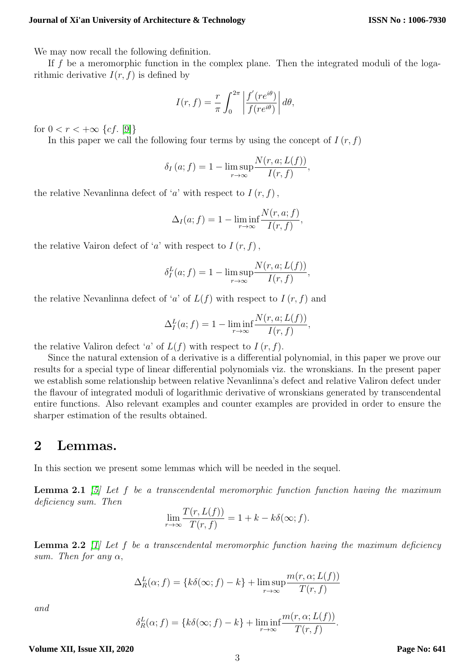We may now recall the following definition.

If f be a meromorphic function in the complex plane. Then the integrated moduli of the logarithmic derivative  $I(r, f)$  is defined by

$$
I(r, f) = \frac{r}{\pi} \int_0^{2\pi} \left| \frac{f'(re^{i\theta})}{f(re^{i\theta})} \right| d\theta,
$$

for  $0 < r < +\infty$  {cf. [\[9\]](#page-12-4)}

In this paper we call the following four terms by using the concept of  $I(r, f)$ 

$$
\delta_I(a; f) = 1 - \limsup_{r \to \infty} \frac{N(r, a; L(f))}{I(r, f)},
$$

the relative Nevanlinna defect of 'a' with respect to  $I(r, f)$ ,

$$
\Delta_I(a; f) = 1 - \liminf_{r \to \infty} \frac{N(r, a; f)}{I(r, f)},
$$

the relative Vairon defect of 'a' with respect to  $I(r, f)$ ,

$$
\delta_I^L(a; f) = 1 - \limsup_{r \to \infty} \frac{N(r, a; L(f))}{I(r, f)},
$$

the relative Nevanlinna defect of 'a' of  $L(f)$  with respect to  $I(r, f)$  and

$$
\Delta_I^L(a; f) = 1 - \liminf_{r \to \infty} \frac{N(r, a; L(f))}{I(r, f)},
$$

the relative Valiron defect 'a' of  $L(f)$  with respect to  $I(r, f)$ .

Since the natural extension of a derivative is a differential polynomial, in this paper we prove our results for a special type of linear differential polynomials viz. the wronskians. In the present paper we establish some relationship between relative Nevanlinna's defect and relative Valiron defect under the flavour of integrated moduli of logarithmic derivative of wronskians generated by transcendental entire functions. Also relevant examples and counter examples are provided in order to ensure the sharper estimation of the results obtained.

### 2 Lemmas.

<span id="page-2-0"></span>In this section we present some lemmas which will be needed in the sequel.

**Lemma 2.1** [\[5\]](#page-12-5) Let f be a transcendental meromorphic function function having the maximum deficiency sum. Then

$$
\lim_{r \to \infty} \frac{T(r, L(f))}{T(r, f)} = 1 + k - k\delta(\infty; f).
$$

**Lemma 2.2** [\[1\]](#page-12-6) Let f be a transcendental meromorphic function having the maximum deficiency sum. Then for any  $\alpha$ ,

$$
\Delta_R^L(\alpha; f) = \{k\delta(\infty; f) - k\} + \limsup_{r \to \infty} \frac{m(r, \alpha; L(f))}{T(r, f)}
$$

<span id="page-2-1"></span>and

$$
\delta_R^L(\alpha; f) = \{ k\delta(\infty; f) - k \} + \liminf_{r \to \infty} \frac{m(r, \alpha; L(f))}{T(r, f)}.
$$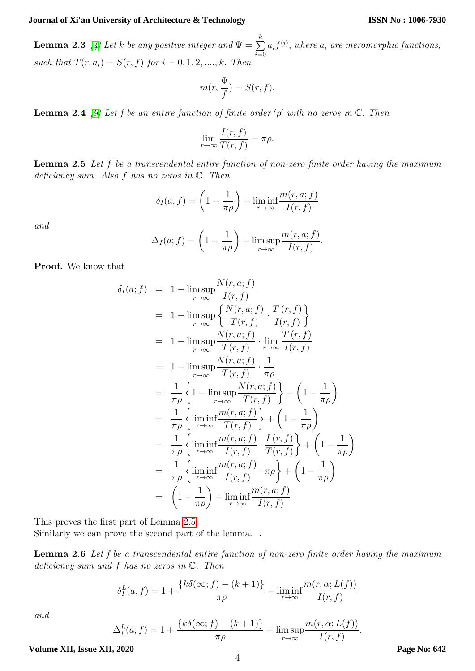#### **ISSN No : 1006-7930**

**Lemma 2.3** [\[4\]](#page-12-3) Let k be any positive integer and  $\Psi = \sum_{k=1}^{k}$  $i=0$  $a_i f^{(i)}$ , where  $a_i$  are meromorphic functions, such that  $T(r, a_i) = S(r, f)$  for  $i = 0, 1, 2, ..., k$ . Then

$$
m(r, \frac{\Psi}{f}) = S(r, f).
$$

<span id="page-3-2"></span>**Lemma 2.4** [\[9\]](#page-12-4) Let f be an entire function of finite order ' $\rho$ ' with no zeros in  $\mathbb{C}$ . Then

$$
\lim_{r \to \infty} \frac{I(r, f)}{T(r, f)} = \pi \rho.
$$

<span id="page-3-0"></span>Lemma 2.5 Let f be a transcendental entire function of non-zero finite order having the maximum deficiency sum. Also f has no zeros in C. Then

$$
\delta_I(a; f) = \left(1 - \frac{1}{\pi \rho}\right) + \liminf_{r \to \infty} \frac{m(r, a; f)}{I(r, f)}
$$

and

$$
\Delta_I(a; f) = \left(1 - \frac{1}{\pi \rho}\right) + \limsup_{r \to \infty} \frac{m(r, a; f)}{I(r, f)}.
$$

Proof. We know that

$$
\delta_{I}(a; f) = 1 - \lim_{r \to \infty} \frac{N(r, a; f)}{I(r, f)}
$$
\n
$$
= 1 - \lim_{r \to \infty} \frac{N(r, a; f)}{T(r, f)} \cdot \frac{T(r, f)}{I(r, f)} \}
$$
\n
$$
= 1 - \lim_{r \to \infty} \frac{N(r, a; f)}{T(r, f)} \cdot \lim_{r \to \infty} \frac{T(r, f)}{I(r, f)}
$$
\n
$$
= 1 - \lim_{r \to \infty} \frac{N(r, a; f)}{T(r, f)} \cdot \frac{1}{\pi \rho}
$$
\n
$$
= \frac{1}{\pi \rho} \left\{ 1 - \lim_{r \to \infty} \frac{N(r, a; f)}{T(r, f)} \right\} + \left( 1 - \frac{1}{\pi \rho} \right)
$$
\n
$$
= \frac{1}{\pi \rho} \left\{ \liminf_{r \to \infty} \frac{m(r, a; f)}{T(r, f)} \right\} + \left( 1 - \frac{1}{\pi \rho} \right)
$$
\n
$$
= \frac{1}{\pi \rho} \left\{ \liminf_{r \to \infty} \frac{m(r, a; f)}{I(r, f)} \cdot \frac{I(r, f)}{T(r, f)} \right\} + \left( 1 - \frac{1}{\pi \rho} \right)
$$
\n
$$
= \frac{1}{\pi \rho} \left\{ \liminf_{r \to \infty} \frac{m(r, a; f)}{I(r, f)} \cdot \pi \rho \right\} + \left( 1 - \frac{1}{\pi \rho} \right)
$$
\n
$$
= \left( 1 - \frac{1}{\pi \rho} \right) + \lim_{r \to \infty} \frac{m(r, a; f)}{I(r, f)}
$$

This proves the first part of Lemma [2.5.](#page-3-0)

<span id="page-3-1"></span>Similarly we can prove the second part of the lemma.

Lemma 2.6 Let f be a transcendental entire function of non-zero finite order having the maximum deficiency sum and  $f$  has no zeros in  $\mathbb{C}$ . Then

$$
\delta_I^L(a; f) = 1 + \frac{\{k\delta(\infty; f) - (k+1)\}}{\pi \rho} + \liminf_{r \to \infty} \frac{m(r, \alpha; L(f))}{I(r, f)}
$$

and

$$
\Delta_I^L(a; f) = 1 + \frac{\{k\delta(\infty; f) - (k+1)\}}{\pi \rho} + \limsup_{r \to \infty} \frac{m(r, \alpha; L(f))}{I(r, f)}.
$$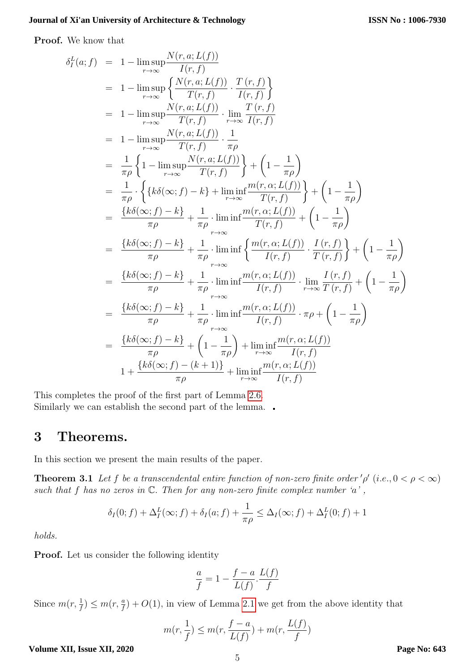Proof. We know that

$$
\delta_f^L(a; f) = 1 - \lim_{r \to \infty} \frac{N(r, a; L(f))}{I(r, f)}
$$
\n
$$
= 1 - \lim_{r \to \infty} \left\{ \frac{N(r, a; L(f))}{T(r, f)} \cdot \frac{T(r, f)}{I(r, f)} \right\}
$$
\n
$$
= 1 - \lim_{r \to \infty} \frac{N(r, a; L(f))}{T(r, f)} \cdot \lim_{r \to \infty} \frac{T(r, f)}{I(r, f)} \right\}
$$
\n
$$
= 1 - \lim_{r \to \infty} \frac{N(r, a; L(f))}{T(r, f)} \cdot \frac{1}{\pi \rho}
$$
\n
$$
= \frac{1}{\pi \rho} \left\{ 1 - \lim_{r \to \infty} \frac{N(r, a; L(f))}{T(r, f)} \right\} + \left( 1 - \frac{1}{\pi \rho} \right)
$$
\n
$$
= \frac{1}{\pi \rho} \cdot \left\{ \left\{ k \delta(\infty; f) - k \right\} + \lim_{r \to \infty} \frac{im(r, \alpha; L(f))}{T(r, f)} \right\} + \left( 1 - \frac{1}{\pi \rho} \right)
$$
\n
$$
= \frac{\left\{ k \delta(\infty; f) - k \right\}}{\pi \rho} + \frac{1}{\pi \rho} \cdot \lim_{r \to \infty} \frac{im(r, \alpha; L(f))}{T(r, f)} + \left( 1 - \frac{1}{\pi \rho} \right)
$$
\n
$$
= \frac{\left\{ k \delta(\infty; f) - k \right\}}{\pi \rho} + \frac{1}{\pi \rho} \cdot \lim_{r \to \infty} \left\{ \frac{m(r, \alpha; L(f))}{I(r, f)} \cdot \frac{I(r, f)}{T(r, f)} \right\} + \left( 1 - \frac{1}{\pi \rho} \right)
$$
\n
$$
= \frac{\left\{ k \delta(\infty; f) - k \right\}}{\pi \rho} + \frac{1}{\pi \rho} \cdot \lim_{r \to \infty} \frac{im(r, \alpha; L(f))}{I(r, f)} \cdot \lim_{r \to \infty} \frac{I(r, f)}{T(r, f)} + \left( 1 - \frac{1}{\pi \rho} \right)
$$
\n
$$
= \frac{\left\{ k \delta
$$

This completes the proof of the first part of Lemma [2.6.](#page-3-1) Similarly we can establish the second part of the lemma.

### 3 Theorems.

<span id="page-4-0"></span>In this section we present the main results of the paper.

**Theorem 3.1** Let f be a transcendental entire function of non-zero finite order ' $\rho'$  (i.e.,  $0 < \rho < \infty$ ) such that f has no zeros in  $\mathbb C$ . Then for any non-zero finite complex number  $a'$ ,

$$
\delta_I(0; f) + \Delta_I^L(\infty; f) + \delta_I(a; f) + \frac{1}{\pi \rho} \leq \Delta_I(\infty; f) + \Delta_I^L(0; f) + 1
$$

holds.

Proof. Let us consider the following identity

$$
\frac{a}{f} = 1 - \frac{f - a}{L(f)} \cdot \frac{L(f)}{f}
$$

Since  $m(r, \frac{1}{f}) \leq m(r, \frac{a}{f}) + O(1)$ , in view of Lemma [2](#page-2-0).1 we get from the above identity that

$$
m(r, \frac{1}{f}) \le m(r, \frac{f-a}{L(f)}) + m(r, \frac{L(f)}{f})
$$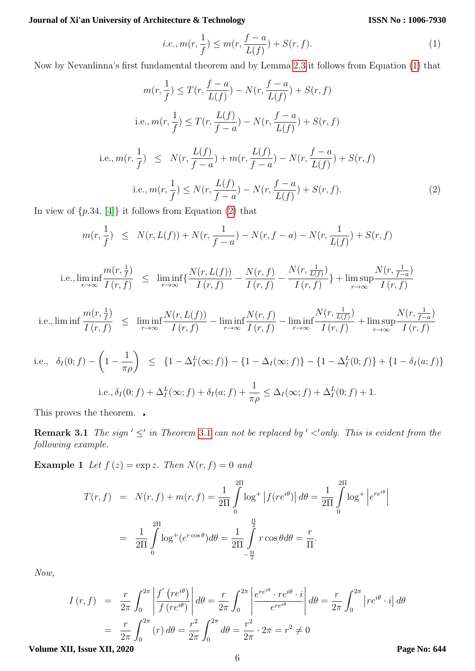**ISSN No : 1006-7930**

<span id="page-5-0"></span>i.e., 
$$
m(r, \frac{1}{f}) \le m(r, \frac{f-a}{L(f)}) + S(r, f).
$$
 (1)

Now by Nevanlinna's first fundamental theorem and by Lemma [2](#page-2-1).3 it follows from Equation [\(1\)](#page-5-0) that

$$
m(r, \frac{1}{f}) \le T(r, \frac{f-a}{L(f)}) - N(r, \frac{f-a}{L(f)}) + S(r, f)
$$
  
i.e.,  $m(r, \frac{1}{f}) \le T(r, \frac{L(f)}{f-a}) - N(r, \frac{f-a}{L(f)}) + S(r, f)$   
i.e.,  $m(r, \frac{1}{f}) \le N(r, \frac{L(f)}{f-a}) + m(r, \frac{L(f)}{f-a}) - N(r, \frac{f-a}{L(f)}) + S(r, f)$   
i.e.,  $m(r, \frac{1}{f}) \le N(r, \frac{L(f)}{f-a}) - N(r, \frac{f-a}{L(f)}) + S(r, f)$ . (2)

In view of  $\{p.34, [4]\}$  $\{p.34, [4]\}$  $\{p.34, [4]\}$  it follows from Equation [\(2\)](#page-5-1) that

<span id="page-5-1"></span>
$$
m(r,\frac{1}{f}) \le N(r,L(f)) + N(r,\frac{1}{f-a}) - N(r,f-a) - N(r,\frac{1}{L(f)}) + S(r,f)
$$

i.e., 
$$
\liminf_{r \to \infty} \frac{m(r, \frac{1}{f})}{I(r, f)} \leq \liminf_{r \to \infty} \left\{ \frac{N(r, L(f))}{I(r, f)} - \frac{N(r, f)}{I(r, f)} - \frac{N(r, \frac{1}{L(f)})}{I(r, f)} \right\} + \limsup_{r \to \infty} \frac{N(r, \frac{1}{f-a})}{I(r, f)}
$$

i.e., 
$$
\liminf \frac{m(r, \frac{1}{f})}{I(r, f)} \leq \liminf_{r \to \infty} \frac{N(r, L(f))}{I(r, f)} - \liminf_{r \to \infty} \frac{N(r, f)}{I(r, f)} - \liminf_{r \to \infty} \frac{N(r, \frac{1}{L(f)})}{I(r, f)} + \limsup_{r \to \infty} \frac{N(r, \frac{1}{f-a})}{I(r, f)}
$$

i.e., 
$$
\delta_I(0; f) - (1 - \frac{1}{\pi \rho}) \leq \{1 - \Delta_I^L(\infty; f)\} - \{1 - \Delta_I(\infty; f)\} - \{1 - \Delta_I^L(0; f)\} + \{1 - \delta_I(a; f)\}
$$
  
\ni.e.,  $\delta_I(0; f) + \Delta_I^L(\infty; f) + \delta_I(a; f) + \frac{1}{\pi \rho} \leq \Delta_I(\infty; f) + \Delta_I^L(0; f) + 1$ .

This proves the theorem.

**Remark [3](#page-4-0).1** The sign  $\leq$  in Theorem 3.1 can not be replaced by  $\leq$  only. This is evident from the following example.

**Example 1** Let  $f(z) = \exp z$ . Then  $N(r, f) = 0$  and

$$
T(r, f) = N(r, f) + m(r, f) = \frac{1}{2\Pi} \int_{0}^{2\Pi} \log^{+} |f(re^{i\theta})| d\theta = \frac{1}{2\Pi} \int_{0}^{2\Pi} \log^{+} |e^{re^{i\theta}}|
$$

$$
= \frac{1}{2\Pi} \int_{0}^{2\Pi} \log^{+}(e^{r\cos\theta}) d\theta = \frac{1}{2\Pi} \int_{-\frac{\Pi}{2}}^{\frac{\Pi}{2}} r\cos\theta d\theta = \frac{r}{\Pi}.
$$

Now,

$$
I(r, f) = \frac{r}{2\pi} \int_0^{2\pi} \left| \frac{f'(re^{i\theta})}{f(re^{i\theta})} \right| d\theta = \frac{r}{2\pi} \int_0^{2\pi} \left| \frac{e^{re^{i\theta}} \cdot re^{i\theta} \cdot i}{e^{re^{i\theta}}} \right| d\theta = \frac{r}{2\pi} \int_0^{2\pi} |re^{i\theta} \cdot i| d\theta
$$

$$
= \frac{r}{2\pi} \int_0^{2\pi} (r) d\theta = \frac{r^2}{2\pi} \int_0^{2\pi} d\theta = \frac{r^2}{2\pi} \cdot 2\pi = r^2 \neq 0
$$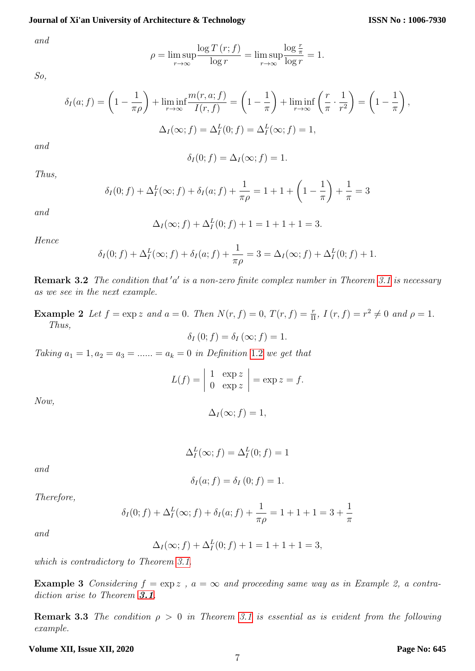and

$$
\rho = \limsup_{r \to \infty} \frac{\log T(r; f)}{\log r} = \limsup_{r \to \infty} \frac{\log \frac{r}{\pi}}{\log r} = 1.
$$

So,

$$
\delta_I(a; f) = \left(1 - \frac{1}{\pi \rho}\right) + \liminf_{r \to \infty} \frac{m(r, a; f)}{I(r, f)} = \left(1 - \frac{1}{\pi}\right) + \liminf_{r \to \infty} \left(\frac{r}{\pi} \cdot \frac{1}{r^2}\right) = \left(1 - \frac{1}{\pi}\right),
$$
  

$$
\Delta_I(\infty; f) = \Delta_I^L(0; f) = \Delta_I^L(\infty; f) = 1,
$$

and

$$
\delta_I(0; f) = \Delta_I(\infty; f) = 1.
$$

Thus,

$$
\delta_I(0; f) + \Delta_I^L(\infty; f) + \delta_I(a; f) + \frac{1}{\pi \rho} = 1 + 1 + \left(1 - \frac{1}{\pi}\right) + \frac{1}{\pi} = 3
$$

and

$$
\Delta_I(\infty; f) + \Delta_I^L(0; f) + 1 = 1 + 1 + 1 = 3.
$$

Hence

$$
\delta_I(0; f) + \Delta_I^L(\infty; f) + \delta_I(a; f) + \frac{1}{\pi \rho} = 3 = \Delta_I(\infty; f) + \Delta_I^L(0; f) + 1.
$$

**Remark 3.2** The condition that 'a' is a non-zero finite complex number in Theorem [3.1](#page-4-0) is necessary as we see in the next example.

**Example 2** Let  $f = \exp z$  and  $a = 0$ . Then  $N(r, f) = 0$ ,  $T(r, f) = \frac{r}{\Pi}$ ,  $I(r, f) = r^2 \neq 0$  and  $\rho = 1$ . Thus,

$$
\delta_I(0; f) = \delta_I(\infty; f) = 1.
$$

Taking  $a_1 = 1, a_2 = a_3 = \dots = a_k = 0$  $a_1 = 1, a_2 = a_3 = \dots = a_k = 0$  $a_1 = 1, a_2 = a_3 = \dots = a_k = 0$  in Definition 1.2 we get that

$$
L(f) = \begin{vmatrix} 1 & \exp z \\ 0 & \exp z \end{vmatrix} = \exp z = f.
$$

Now,

$$
\Delta_I(\infty; f) = 1,
$$

$$
\Delta_I^L(\infty; f) = \Delta_I^L(0; f) = 1
$$

and

$$
\delta_I(a; f) = \delta_I(0; f) = 1.
$$

Therefore,

$$
\delta_I(0; f) + \Delta_I^L(\infty; f) + \delta_I(a; f) + \frac{1}{\pi \rho} = 1 + 1 + 1 = 3 + \frac{1}{\pi}
$$

and

$$
\Delta_I(\infty; f) + \Delta_I^L(0; f) + 1 = 1 + 1 + 1 = 3,
$$

which is contradictory to Theorem [3.1](#page-4-0).

**Example 3** Considering  $f = \exp z$ ,  $a = \infty$  and proceeding same way as in Example 2, a contradiction arise to Theorem **[3.1](#page-4-0)**.

**Remark 3.3** The condition  $\rho > 0$  in Theorem [3.1](#page-4-0) is essential as is evident from the following example.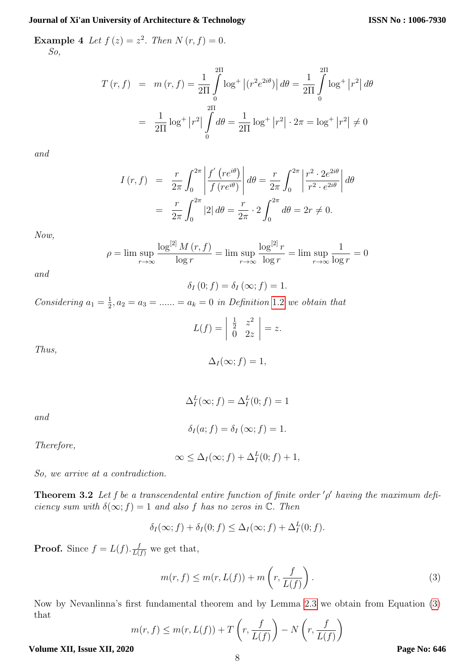**Example 4** Let  $f(z) = z^2$ . Then  $N(r, f) = 0$ . So,

$$
T(r, f) = m(r, f) = \frac{1}{2\Pi} \int_{0}^{2\Pi} \log^{+} |(r^{2}e^{2i\theta})| d\theta = \frac{1}{2\Pi} \int_{0}^{2\Pi} \log^{+} |r^{2}| d\theta
$$

$$
= \frac{1}{2\Pi} \log^{+} |r^{2}| \int_{0}^{2\Pi} d\theta = \frac{1}{2\Pi} \log^{+} |r^{2}| \cdot 2\pi = \log^{+} |r^{2}| \neq 0
$$

and

$$
I(r, f) = \frac{r}{2\pi} \int_0^{2\pi} \left| \frac{f'(re^{i\theta})}{f(re^{i\theta})} \right| d\theta = \frac{r}{2\pi} \int_0^{2\pi} \left| \frac{r^2 \cdot 2e^{2i\theta}}{r^2 \cdot e^{2i\theta}} \right| d\theta
$$

$$
= \frac{r}{2\pi} \int_0^{2\pi} |2| d\theta = \frac{r}{2\pi} \cdot 2 \int_0^{2\pi} d\theta = 2r \neq 0.
$$

Now,

$$
\rho = \lim \sup_{r \to \infty} \frac{\log^{[2]} M(r, f)}{\log r} = \lim \sup_{r \to \infty} \frac{\log^{[2]} r}{\log r} = \lim \sup_{r \to \infty} \frac{1}{\log r} = 0
$$

and

$$
\delta_I(0; f) = \delta_I(\infty; f) = 1.
$$

Considering  $a_1 = \frac{1}{2}$  $\frac{1}{2}, a_2 = a_3 = \dots = a_k = 0$  $\frac{1}{2}, a_2 = a_3 = \dots = a_k = 0$  $\frac{1}{2}, a_2 = a_3 = \dots = a_k = 0$  in Definition 1.2 we obtain that

$$
L(f) = \left| \begin{array}{cc} \frac{1}{2} & z^2 \\ 0 & 2z \end{array} \right| = z.
$$

Thus,

$$
\Delta_I(\infty; f) = 1,
$$

and

$$
\delta_I(a; f) = \delta_I(\infty; f) = 1.
$$

 $\Delta_I^L(\infty; f) = \Delta_I^L(0; f) = 1$ 

Therefore,

$$
\infty \leq \Delta_I(\infty; f) + \Delta_I^L(0; f) + 1,
$$

So, we arrive at a contradiction.

<span id="page-7-1"></span>**Theorem 3.2** Let f be a transcendental entire function of finite order  $'\rho'$  having the maximum deficiency sum with  $\delta(\infty; f) = 1$  and also f has no zeros in  $\mathbb C$ . Then

$$
\delta_I(\infty; f) + \delta_I(0; f) \le \Delta_I(\infty; f) + \Delta_I^L(0; f).
$$

**Proof.** Since  $f = L(f) \cdot \frac{f}{L(f)}$  we get that,

<span id="page-7-0"></span>
$$
m(r, f) \le m(r, L(f)) + m\left(r, \frac{f}{L(f)}\right). \tag{3}
$$

Now by Nevanlinna's first fundamental theorem and by Lemma 2.[3](#page-2-1) we obtain from Equation [\(3\)](#page-7-0) that

$$
m(r, f) \le m(r, L(f)) + T\left(r, \frac{f}{L(f)}\right) - N\left(r, \frac{f}{L(f)}\right)
$$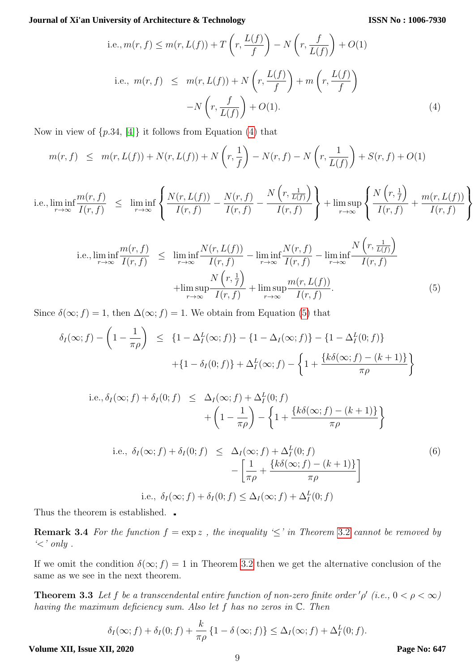<span id="page-8-0"></span>i.e., 
$$
m(r, f) \le m(r, L(f)) + T\left(r, \frac{L(f)}{f}\right) - N\left(r, \frac{f}{L(f)}\right) + O(1)
$$
  
\ni.e.,  $m(r, f) \le m(r, L(f)) + N\left(r, \frac{L(f)}{f}\right) + m\left(r, \frac{L(f)}{f}\right)$   
\n
$$
-N\left(r, \frac{f}{L(f)}\right) + O(1).
$$
\n(4)

Now in view of  $\{p.34, 4\}$  it follows from Equation [\(4\)](#page-8-0) that

$$
m(r, f) \leq m(r, L(f)) + N(r, L(f)) + N\left(r, \frac{1}{f}\right) - N(r, f) - N\left(r, \frac{1}{L(f)}\right) + S(r, f) + O(1)
$$

i.e., 
$$
\liminf_{r \to \infty} \frac{m(r, f)}{I(r, f)} \leq \liminf_{r \to \infty} \left\{ \frac{N(r, L(f))}{I(r, f)} - \frac{N(r, f)}{I(r, f)} - \frac{N(r, \frac{1}{L(f)})}{I(r, f)} \right\} + \limsup_{r \to \infty} \left\{ \frac{N(r, \frac{1}{f})}{I(r, f)} + \frac{m(r, L(f))}{I(r, f)} \right\}
$$

<span id="page-8-1"></span>i.e., 
$$
\liminf_{r \to \infty} \frac{m(r, f)}{I(r, f)} \leq \liminf_{r \to \infty} \frac{N(r, L(f))}{I(r, f)} - \liminf_{r \to \infty} \frac{N(r, f)}{I(r, f)} - \liminf_{r \to \infty} \frac{N(r, \frac{1}{L(f)})}{I(r, f)}
$$

$$
+ \limsup_{r \to \infty} \frac{N(r, \frac{1}{f})}{I(r, f)} + \limsup_{r \to \infty} \frac{m(r, L(f))}{I(r, f)}.
$$
(5)

Since  $\delta(\infty; f) = 1$ , then  $\Delta(\infty; f) = 1$ . We obtain from Equation [\(5\)](#page-8-1) that

$$
\delta_I(\infty; f) - \left(1 - \frac{1}{\pi \rho}\right) \le \left\{1 - \Delta_I^L(\infty; f)\right\} - \left\{1 - \Delta_I(\infty; f)\right\} - \left\{1 - \Delta_I^L(0; f)\right\}
$$

$$
+ \left\{1 - \delta_I(0; f)\right\} + \Delta_I^L(\infty; f) - \left\{1 + \frac{\left\{k\delta(\infty; f) - (k+1)\right\}}{\pi \rho}\right\}
$$

i.e., 
$$
\delta_I(\infty; f) + \delta_I(0; f) \leq \Delta_I(\infty; f) + \Delta_I^L(0; f)
$$
  
  $+ \left(1 - \frac{1}{\pi \rho}\right) - \left\{1 + \frac{\left\{k\delta(\infty; f) - (k+1)\right\}}{\pi \rho}\right\}$   
i.e.,  $\delta_I(\infty; f) + \delta_I(0; f) \leq \Delta_I(\infty; f) + \Delta_I^L(0; f)$  (6)

<span id="page-8-2"></span>i.e., 
$$
\delta_I(\infty; f) + \delta_I(0; f) \leq \Delta_I(\infty; f) + \Delta_I^2(0; f)
$$
  
\n
$$
- \left[ \frac{1}{\pi \rho} + \frac{\{k\delta(\infty; f) - (k+1)\}}{\pi \rho} \right]
$$
\ni.e.,  $\delta_I(\infty; f) + \delta_I(0; f) \leq \Delta_I(\infty; f) + \Delta_I^L(0; f)$  (6)

Thus the theorem is established.  $\Box$ 

**Remark [3](#page-7-1).4** For the function  $f = \exp z$ , the inequality ' $\leq$ ' in Theorem 3.2 cannot be removed by  $\leq$ ' only.

If we omit the condition  $\delta(\infty; f) = 1$  in Theorem [3](#page-7-1).2 then we get the alternative conclusion of the same as we see in the next theorem.

<span id="page-8-3"></span>**Theorem 3.3** Let f be a transcendental entire function of non-zero finite order '  $\rho'$  (i.e.,  $0 < \rho < \infty$ ) having the maximum deficiency sum. Also let f has no zeros in C. Then

$$
\delta_I(\infty; f) + \delta_I(0; f) + \frac{k}{\pi \rho} \{1 - \delta(\infty; f)\} \leq \Delta_I(\infty; f) + \Delta_I^L(0; f).
$$

**Volume XII, Issue XII, 2020**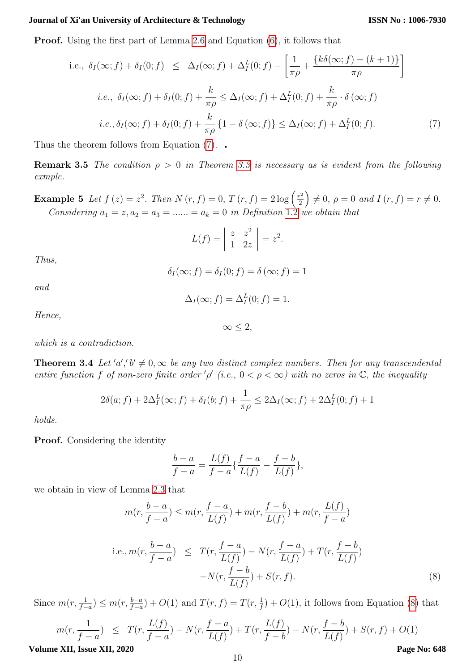Proof. Using the first part of Lemma 2.[6](#page-3-1) and Equation [\(6\)](#page-8-2), it follows that

<span id="page-9-0"></span>i.e., 
$$
\delta_I(\infty; f) + \delta_I(0; f) \leq \Delta_I(\infty; f) + \Delta_I^L(0; f) - \left[\frac{1}{\pi \rho} + \frac{\{k\delta(\infty; f) - (k+1)\}}{\pi \rho}\right]
$$
  
\n*i.e.*,  $\delta_I(\infty; f) + \delta_I(0; f) + \frac{k}{\pi \rho} \leq \Delta_I(\infty; f) + \Delta_I^L(0; f) + \frac{k}{\pi \rho} \cdot \delta(\infty; f)$   
\n*i.e.*,  $\delta_I(\infty; f) + \delta_I(0; f) + \frac{k}{\pi \rho} \{1 - \delta(\infty; f)\} \leq \Delta_I(\infty; f) + \Delta_I^L(0; f)$ . (7)

Thus the theorem follows from Equation [\(7\)](#page-9-0).

**Remark 3.5** The condition  $\rho > 0$  in Theorem [3.3](#page-8-3) is necessary as is evident from the following exmple.

**Example 5** Let  $f(z) = z^2$ . Then  $N(r, f) = 0$ ,  $T(r, f) = 2 \log \left( \frac{r^2}{2} \right)$  $\left(\frac{r^2}{2}\right) \neq 0, \ \rho = 0 \ \text{and} \ I\left(r, f\right) = r \neq 0.$ Considering  $a_1 = z, a_2 = a_3 = \dots = a_k = 0$  $a_1 = z, a_2 = a_3 = \dots = a_k = 0$  $a_1 = z, a_2 = a_3 = \dots = a_k = 0$  in Definition 1.2 we obtain that

$$
L(f) = \begin{vmatrix} z & z^2 \\ 1 & 2z \end{vmatrix} = z^2.
$$

Thus,

$$
\delta_I(\infty; f) = \delta_I(0; f) = \delta(\infty; f) = 1
$$

and

$$
\Delta_I(\infty; f) = \Delta_I^L(0; f) = 1.
$$

Hence,

 $∞ < 2,$ 

which is a contradiction.

<span id="page-9-2"></span>**Theorem 3.4** Let 'a','  $b' \neq 0$ ,  $\infty$  be any two distinct complex numbers. Then for any transcendental entire function f of non-zero finite order '  $\rho'$  (i.e.,  $0 < \rho < \infty$ ) with no zeros in  $\mathbb{C}$ , the inequality

$$
2\delta(a; f) + 2\Delta_I^L(\infty; f) + \delta_I(b; f) + \frac{1}{\pi \rho} \le 2\Delta_I(\infty; f) + 2\Delta_I^L(0; f) + 1
$$

holds.

Proof. Considering the identity

$$
\frac{b-a}{f-a} = \frac{L(f)}{f-a} \{ \frac{f-a}{L(f)} - \frac{f-b}{L(f)} \},\,
$$

we obtain in view of Lemma 2.[3](#page-2-1) that

<span id="page-9-1"></span>
$$
m(r, \frac{b-a}{f-a}) \le m(r, \frac{f-a}{L(f)}) + m(r, \frac{f-b}{L(f)}) + m(r, \frac{L(f)}{f-a})
$$
  
i.e., 
$$
m(r, \frac{b-a}{f-a}) \le T(r, \frac{f-a}{L(f)}) - N(r, \frac{f-a}{L(f)}) + T(r, \frac{f-b}{L(f)})
$$

$$
-N(r, \frac{f-b}{L(f)}) + S(r, f).
$$
(8)

Since  $m(r, \frac{1}{f-a}) \leq m(r, \frac{b-a}{f-a}) + O(1)$  and  $T(r, f) = T(r, \frac{1}{f}) + O(1)$ , it follows from Equation [\(8\)](#page-9-1) that

$$
m(r, \frac{1}{f-a}) \le T(r, \frac{L(f)}{f-a}) - N(r, \frac{f-a}{L(f)}) + T(r, \frac{L(f)}{f-b}) - N(r, \frac{f-b}{L(f)}) + S(r, f) + O(1)
$$

**Volume XII, Issue XII, 2020**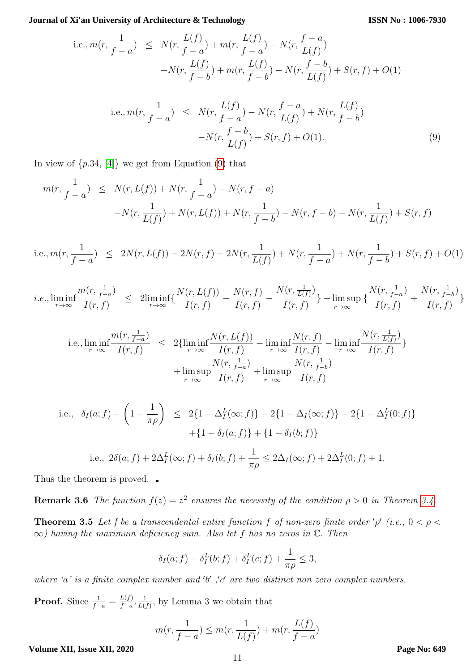i.e., 
$$
m(r, \frac{1}{f-a}) \le N(r, \frac{L(f)}{f-a}) + m(r, \frac{L(f)}{f-a}) - N(r, \frac{f-a}{L(f)}) + N(r, \frac{L(f)}{f-b}) + m(r, \frac{L(f)}{f-b}) - N(r, \frac{f-b}{L(f)}) + S(r, f) + O(1)
$$

<span id="page-10-0"></span>i.e., 
$$
m(r, \frac{1}{f-a}) \leq N(r, \frac{L(f)}{f-a}) - N(r, \frac{f-a}{L(f)}) + N(r, \frac{L(f)}{f-b})
$$
  
- $N(r, \frac{f-b}{L(f)}) + S(r, f) + O(1).$  (9)

In view of  $\{p.34, [4]\}$  $\{p.34, [4]\}$  $\{p.34, [4]\}$  we get from Equation  $(9)$  that

$$
m(r, \frac{1}{f-a}) \le N(r, L(f)) + N(r, \frac{1}{f-a}) - N(r, f-a)
$$
  
-N(r,  $\frac{1}{L(f)}) + N(r, L(f)) + N(r, \frac{1}{f-b}) - N(r, f-b) - N(r, \frac{1}{L(f)}) + S(r, f)$ 

i.e., 
$$
m(r, \frac{1}{f-a}) \leq 2N(r, L(f)) - 2N(r, f) - 2N(r, \frac{1}{L(f)}) + N(r, \frac{1}{f-a}) + N(r, \frac{1}{f-b}) + S(r, f) + O(1)
$$

*i.e.*, 
$$
\liminf_{r \to \infty} \frac{m(r, \frac{1}{f-a})}{I(r, f)} \leq 2\liminf_{r \to \infty} \left\{ \frac{N(r, L(f))}{I(r, f)} - \frac{N(r, \frac{1}{L(f)})}{I(r, f)} \right\} + \limsup_{r \to \infty} \left\{ \frac{N(r, \frac{1}{f-a})}{I(r, f)} + \frac{N(r, \frac{1}{f-b})}{I(r, f)} \right\}
$$

i.e., 
$$
\liminf_{r \to \infty} \frac{m(r, \frac{1}{f-a})}{I(r, f)} \leq 2 \{ \liminf_{r \to \infty} \frac{N(r, L(f))}{I(r, f)} - \liminf_{r \to \infty} \frac{N(r, f)}{I(r, f)} - \liminf_{r \to \infty} \frac{N(r, \frac{1}{L(f)})}{I(r, f)} \} + \limsup_{r \to \infty} \frac{N(r, \frac{1}{f-a})}{I(r, f)} + \limsup_{r \to \infty} \frac{N(r, \frac{1}{f-b})}{I(r, f)}
$$

i.e., 
$$
\delta_I(a; f) - \left(1 - \frac{1}{\pi \rho}\right) \le 2\{1 - \Delta_I^L(\infty; f)\} - 2\{1 - \Delta_I(\infty; f)\} - 2\{1 - \Delta_I^L(0; f)\} + \{1 - \delta_I(a; f)\} + \{1 - \delta_I(b; f)\}
$$
  
\ni.e.,  $2\delta(a; f) + 2\Delta_I^L(\infty; f) + \delta_I(b; f) + \frac{1}{\pi \rho} \le 2\Delta_I(\infty; f) + 2\Delta_I^L(0; f) + 1$ .

Thus the theorem is proved.  $\Box$ 

**Remark 3.6** The function  $f(z) = z^2$  ensures the necessity of the condition  $\rho > 0$  in Theorem [3.4.](#page-9-2) **Theorem 3.5** Let f be a transcendental entire function f of non-zero finite order ' $\rho'$  (i.e.,  $0 < \rho <$ 

$$
\delta_I(a; f) + \delta_I^L(b; f) + \delta_I^L(c; f) + \frac{1}{\pi \rho} \le 3,
$$

where 'a' is a finite complex number and 'b', 'c' are two distinct non zero complex numbers.

 $\infty$ ) having the maximum deficiency sum. Also let f has no zeros in  $\mathbb{C}$ . Then

**Proof.** Since  $\frac{1}{f-a} = \frac{L(f)}{f-a}$  $\frac{L(f)}{f-a} \cdot \frac{1}{L(1)}$  $\frac{1}{L(f)}$ , by Lemma 3 we obtain that

$$
m(r, \frac{1}{f-a}) \le m(r, \frac{1}{L(f)}) + m(r, \frac{L(f)}{f-a})
$$

**Volume XII, Issue XII, 2020**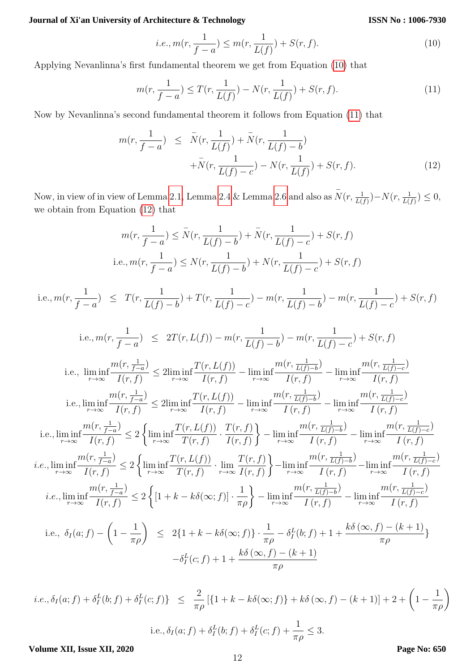**ISSN No : 1006-7930**

<span id="page-11-0"></span>i.e., 
$$
m(r, \frac{1}{f-a}) \le m(r, \frac{1}{L(f)}) + S(r, f).
$$
 (10)

Applying Nevanlinna's first fundamental theorem we get from Equation [\(10\)](#page-11-0) that

<span id="page-11-1"></span>
$$
m(r, \frac{1}{f-a}) \le T(r, \frac{1}{L(f)}) - N(r, \frac{1}{L(f)}) + S(r, f). \tag{11}
$$

Now by Nevanlinna's second fundamental theorem it follows from Equation [\(11\)](#page-11-1) that

<span id="page-11-2"></span>
$$
m(r, \frac{1}{f-a}) \leq \bar{N}(r, \frac{1}{L(f)}) + \bar{N}(r, \frac{1}{L(f)-b}) + \bar{N}(r, \frac{1}{L(f)-c}) - N(r, \frac{1}{L(f)}) + S(r, f). \tag{12}
$$

Now, in view of in view of Lemma 2.[1,](#page-2-0) Lemma [2.4](#page-3-2) & Lemma [2.6](#page-3-1) and also as  $\bar{N}(r, \frac{1}{L(f)}) - N(r, \frac{1}{L(f)}) \leq 0$ , we obtain from Equation [\(12\)](#page-11-2) that

$$
m(r, \frac{1}{f-a}) \leq \bar{N}(r, \frac{1}{L(f)-b}) + \bar{N}(r, \frac{1}{L(f)-c}) + S(r, f)
$$
  
\ni.e.,  $m(r, \frac{1}{f-a}) \leq N(r, \frac{1}{L(f)-b}) + N(r, \frac{1}{L(f)-c}) + S(r, f)$   
\ni.e.,  $m(r, \frac{1}{f-a}) \leq T(r, \frac{1}{L(f)-b}) + T(r, \frac{1}{L(f)-c}) - m(r, \frac{1}{L(f)-b}) - m(r, \frac{1}{L(f)-c}) + S(r, f)$   
\ni.e.,  $m(r, \frac{1}{f-a}) \leq 2T(r, L(f)) - m(r, \frac{1}{L(f)-b}) - m(r, \frac{1}{L(f)-c}) + S(r, f)$   
\ni.e.,  $\liminf_{r \to \infty} \frac{m(r, \frac{1}{f-a})}{I(r, f)} \leq 2 \liminf_{r \to \infty} \frac{T(r, L(f))}{I(r, f)} - \liminf_{r \to \infty} \frac{m(r, \frac{1}{L(f)-c})}{I(r, f)} - \liminf_{r \to \infty} \frac{m(r, \frac{1}{L(f)-c})}{I(r, f)}$   
\ni.e.,  $\liminf_{r \to \infty} \frac{m(r, \frac{1}{f-a})}{I(r, f)} \leq 2 \liminf_{r \to \infty} \frac{T(r, L(f))}{I(r, f)} - \liminf_{r \to \infty} \frac{m(r, \frac{1}{L(f)-c})}{I(r, f)} - \liminf_{r \to \infty} \frac{m(r, \frac{1}{L(f)-c})}{I(r, f)}$   
\ni.e.,  $\liminf_{r \to \infty} \frac{m(r, \frac{1}{f-a})}{I(r, f)} \leq 2 \left\{ \liminf_{r \to \infty} \frac{T(r, L(f))}{T(r, f)} \cdot \frac{T(r, f)}{I(r, f)} \right\} - \liminf_{r \to \infty} \frac{m(r, \frac{1}{L(f)-c})}{I(r, f)} - \liminf_{r \to \infty} \frac{m(r, \frac{1}{L(f)-c})}{I(r, f)}$   
\ni.e.,  $\liminf_{r \to \infty} \frac{m(r, \frac{1}{f-a})}{I(r, f)} \leq 2 \left\{ \left[ 1 + k - k\delta(\in$ 

$$
i.e., \delta_I(a; f) + \delta_I^L(b; f) + \delta_I^L(c; f) \} \le \frac{2}{\pi \rho} \left[ \{ 1 + k - k \delta(\infty; f) \} + k \delta(\infty, f) - (k+1) \right] + 2 + \left( 1 - \frac{1}{\pi \rho} \right)
$$
  
i.e.,  $\delta_I(a; f) + \delta_I^L(b; f) + \delta_I^L(c; f) + \frac{1}{\pi \rho} \le 3.$ 

**Volume XII, Issue XII, 2020**